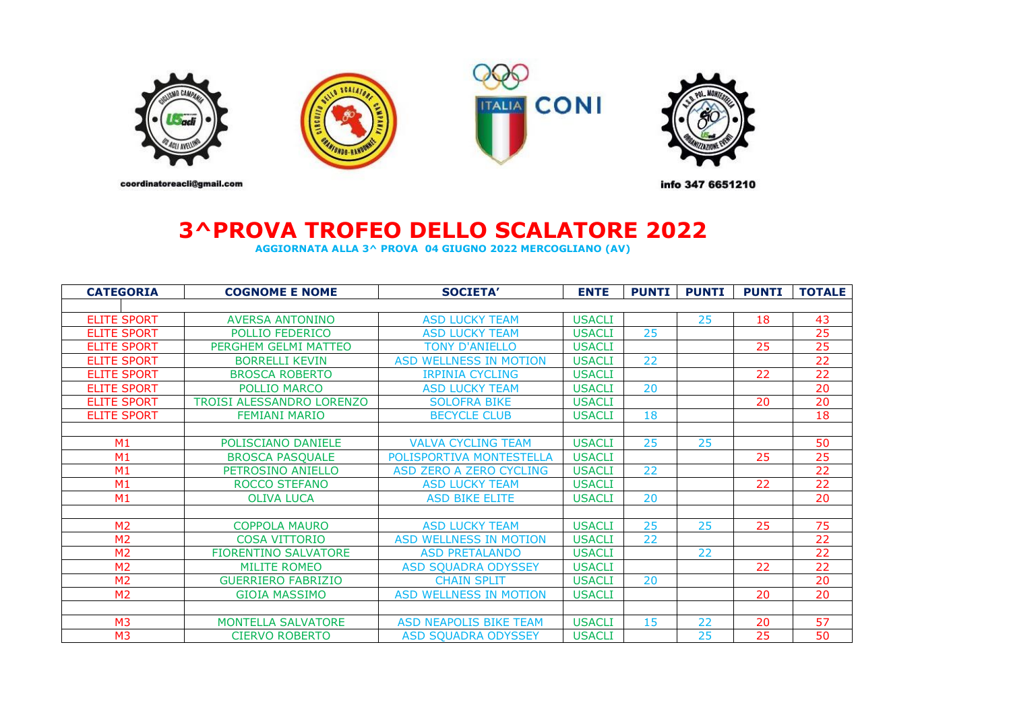

## **3^PROVA TROFEO DELLO SCALATORE 2022**

**AGGIORNATA ALLA 3^ PROVA 04 GIUGNO 2022 MERCOGLIANO (AV)**

| <b>CATEGORIA</b>   | <b>COGNOME E NOME</b>            | <b>SOCIETA'</b>                | <b>ENTE</b>   | <b>PUNTI</b> | <b>PUNTI</b> | <b>PUNTI</b> | <b>TOTALE</b>   |
|--------------------|----------------------------------|--------------------------------|---------------|--------------|--------------|--------------|-----------------|
|                    |                                  |                                |               |              |              |              |                 |
| <b>ELITE SPORT</b> | <b>AVERSA ANTONINO</b>           | <b>ASD LUCKY TEAM</b>          | <b>USACLI</b> |              | 25           | 18           | 43              |
| <b>ELITE SPORT</b> | POLLIO FEDERICO                  | <b>ASD LUCKY TEAM</b>          | <b>USACLI</b> | 25           |              |              | $\overline{25}$ |
| <b>ELITE SPORT</b> | PERGHEM GELMI MATTEO             | <b>TONY D'ANIELLO</b>          | <b>USACLI</b> |              |              | 25           | 25              |
| <b>ELITE SPORT</b> | <b>BORRELLI KEVIN</b>            | <b>ASD WELLNESS IN MOTION</b>  | <b>USACLI</b> | 22           |              |              | 22              |
| <b>ELITE SPORT</b> | <b>BROSCA ROBERTO</b>            | <b>IRPINIA CYCLING</b>         | <b>USACLI</b> |              |              | 22           | $\overline{22}$ |
| <b>ELITE SPORT</b> | POLLIO MARCO                     | <b>ASD LUCKY TEAM</b>          | <b>USACLI</b> | 20           |              |              | 20              |
| <b>ELITE SPORT</b> | <b>TROISI ALESSANDRO LORENZO</b> | <b>SOLOFRA BIKE</b>            | <b>USACLI</b> |              |              | 20           | 20              |
| <b>ELITE SPORT</b> | <b>FEMIANI MARIO</b>             | <b>BECYCLE CLUB</b>            | <b>USACLI</b> | 18           |              |              | 18              |
|                    |                                  |                                |               |              |              |              |                 |
| M <sub>1</sub>     | POLISCIANO DANIELE               | <b>VALVA CYCLING TEAM</b>      | <b>USACLI</b> | 25           | 25           |              | 50              |
| M1                 | <b>BROSCA PASQUALE</b>           | POLISPORTIVA MONTESTELLA       | <b>USACLI</b> |              |              | 25           | 25              |
| M1                 | PETROSINO ANIELLO                | <b>ASD ZERO A ZERO CYCLING</b> | <b>USACLI</b> | 22           |              |              | $\overline{22}$ |
| M1                 | <b>ROCCO STEFANO</b>             | <b>ASD LUCKY TEAM</b>          | <b>USACLI</b> |              |              | 22           | $\overline{22}$ |
| M1                 | <b>OLIVA LUCA</b>                | <b>ASD BIKE ELITE</b>          | <b>USACLI</b> | 20           |              |              | $\overline{20}$ |
|                    |                                  |                                |               |              |              |              |                 |
| M <sub>2</sub>     | <b>COPPOLA MAURO</b>             | <b>ASD LUCKY TEAM</b>          | <b>USACLI</b> | 25           | 25           | 25           | 75              |
| M <sub>2</sub>     | <b>COSA VITTORIO</b>             | <b>ASD WELLNESS IN MOTION</b>  | <b>USACLI</b> | 22           |              |              | 22              |
| M <sub>2</sub>     | <b>FIORENTINO SALVATORE</b>      | <b>ASD PRETALANDO</b>          | <b>USACLI</b> |              | 22           |              | $\overline{22}$ |
| M <sub>2</sub>     | <b>MILITE ROMEO</b>              | <b>ASD SQUADRA ODYSSEY</b>     | <b>USACLI</b> |              |              | 22           | 22              |
| M <sub>2</sub>     | <b>GUERRIERO FABRIZIO</b>        | <b>CHAIN SPLIT</b>             | <b>USACLI</b> | 20           |              |              | 20              |
| M <sub>2</sub>     | <b>GIOIA MASSIMO</b>             | <b>ASD WELLNESS IN MOTION</b>  | <b>USACLI</b> |              |              | 20           | 20              |
|                    |                                  |                                |               |              |              |              |                 |
| M <sub>3</sub>     | <b>MONTELLA SALVATORE</b>        | <b>ASD NEAPOLIS BIKE TEAM</b>  | <b>USACLI</b> | 15           | 22           | 20           | 57              |
| M <sub>3</sub>     | <b>CIERVO ROBERTO</b>            | <b>ASD SQUADRA ODYSSEY</b>     | <b>USACLI</b> |              | 25           | 25           | 50              |